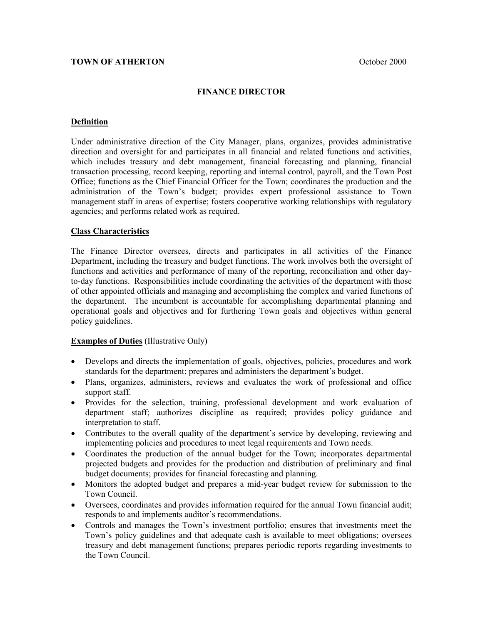## **FINANCE DIRECTOR**

#### **Definition**

Under administrative direction of the City Manager, plans, organizes, provides administrative direction and oversight for and participates in all financial and related functions and activities, which includes treasury and debt management, financial forecasting and planning, financial transaction processing, record keeping, reporting and internal control, payroll, and the Town Post Office; functions as the Chief Financial Officer for the Town; coordinates the production and the administration of the Town's budget; provides expert professional assistance to Town management staff in areas of expertise; fosters cooperative working relationships with regulatory agencies; and performs related work as required.

## **Class Characteristics**

The Finance Director oversees, directs and participates in all activities of the Finance Department, including the treasury and budget functions. The work involves both the oversight of functions and activities and performance of many of the reporting, reconciliation and other dayto-day functions. Responsibilities include coordinating the activities of the department with those of other appointed officials and managing and accomplishing the complex and varied functions of the department. The incumbent is accountable for accomplishing departmental planning and operational goals and objectives and for furthering Town goals and objectives within general policy guidelines.

#### **Examples of Duties** (Illustrative Only)

- Develops and directs the implementation of goals, objectives, policies, procedures and work standards for the department; prepares and administers the department's budget.
- Plans, organizes, administers, reviews and evaluates the work of professional and office support staff.
- Provides for the selection, training, professional development and work evaluation of department staff; authorizes discipline as required; provides policy guidance and interpretation to staff.
- Contributes to the overall quality of the department's service by developing, reviewing and implementing policies and procedures to meet legal requirements and Town needs.
- Coordinates the production of the annual budget for the Town; incorporates departmental projected budgets and provides for the production and distribution of preliminary and final budget documents; provides for financial forecasting and planning.
- Monitors the adopted budget and prepares a mid-year budget review for submission to the Town Council.
- Oversees, coordinates and provides information required for the annual Town financial audit; responds to and implements auditor's recommendations.
- Controls and manages the Town's investment portfolio; ensures that investments meet the Town's policy guidelines and that adequate cash is available to meet obligations; oversees treasury and debt management functions; prepares periodic reports regarding investments to the Town Council.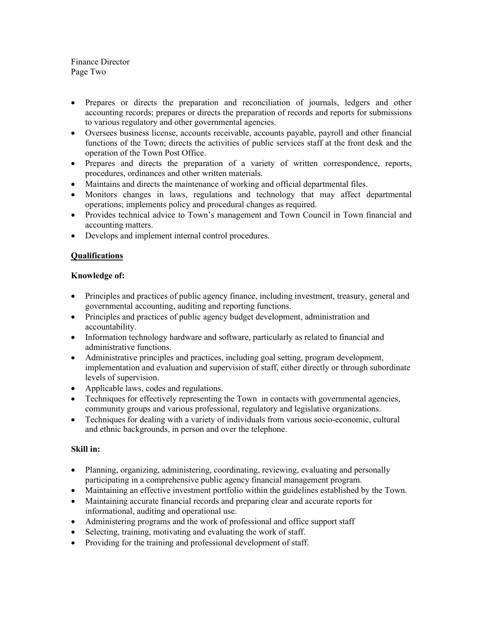Finance Director Page Two

- Prepares or directs the preparation and reconciliation of journals, ledgers and other accounting records; prepares or directs the preparation of records and reports for submissions to various regulatory and other governmental agencies.
- Oversees business license, accounts receivable, accounts payable, payroll and other financial functions of the Town; directs the activities of public services staff at the front desk and the operation of the Town Post Office.
- Prepares and directs the preparation of a variety of written correspondence, reports, procedures, ordinances and other written materials.
- Maintains and directs the maintenance of working and official departmental files.
- Monitors changes in laws, regulations and technology that may affect departmental operations; implements policy and procedural changes as required.
- Provides technical advice to Town's management and Town Council in Town financial and accounting matters.
- Develops and implement internal control procedures.

# **Qualifications**

## **Knowledge of:**

- Principles and practices of public agency finance, including investment, treasury, general and governmental accounting, auditing and reporting functions.
- Principles and practices of public agency budget development, administration and accountability.
- Information technology hardware and software, particularly as related to financial and administrative functions.
- Administrative principles and practices, including goal setting, program development, implementation and evaluation and supervision of staff, either directly or through subordinate levels of supervision.
- Applicable laws, codes and regulations.
- Techniques for effectively representing the Town in contacts with governmental agencies, community groups and various professional, regulatory and legislative organizations.
- Techniques for dealing with a variety of individuals from various socio-economic, cultural and ethnic backgrounds, in person and over the telephone.

## **Skill in:**

- Planning, organizing, administering, coordinating, reviewing, evaluating and personally participating in a comprehensive public agency financial management program.
- Maintaining an effective investment portfolio within the guidelines established by the Town.
- Maintaining accurate financial records and preparing clear and accurate reports for informational, auditing and operational use.
- Administering programs and the work of professional and office support staff
- Selecting, training, motivating and evaluating the work of staff.
- Providing for the training and professional development of staff.